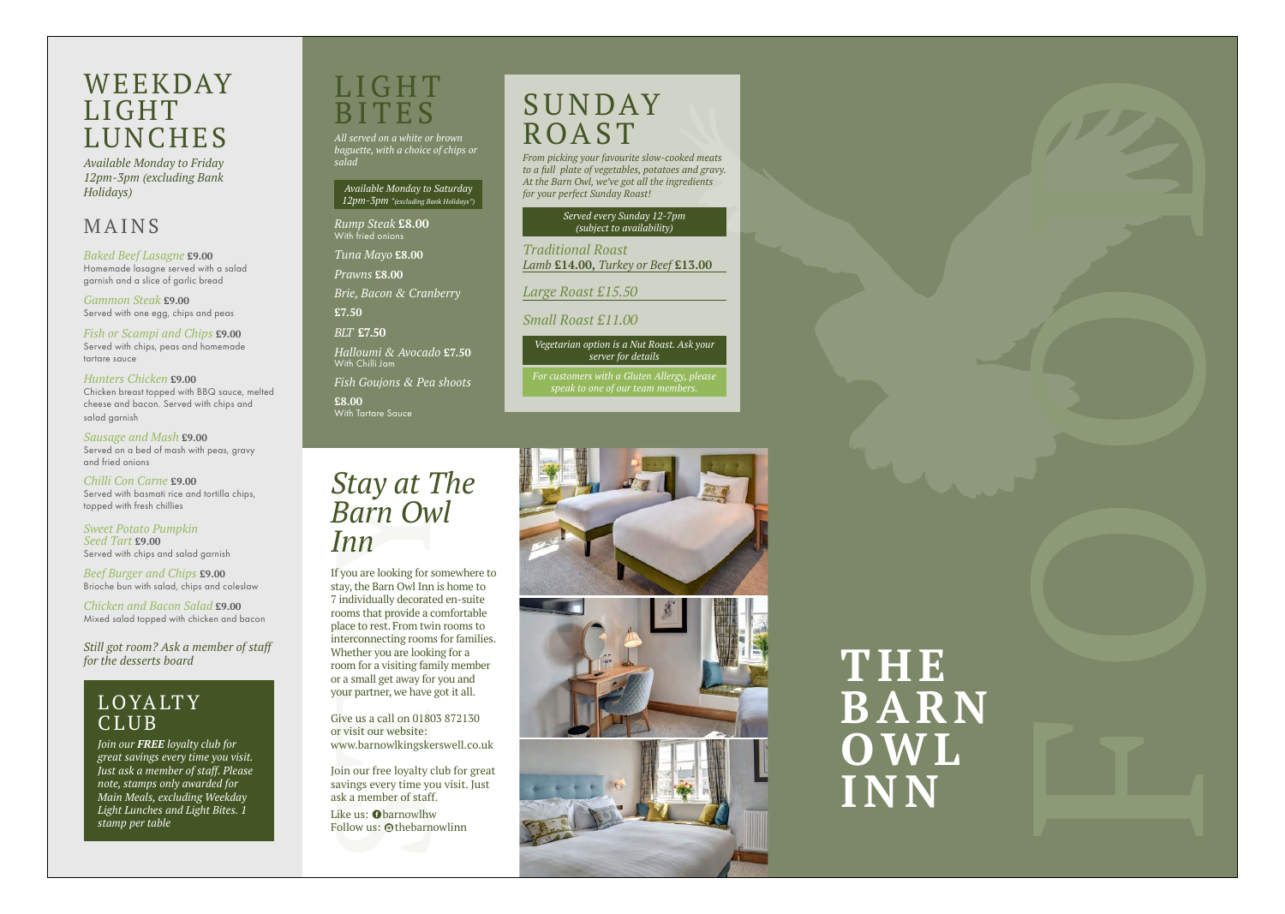# L I G H T BITES

*All served on a white or brown baguette, with a choice of chips or salad*

*Available Monday to Saturday 12pm-3pm "(excluding Bank Holidays")*

**£8.00** With Tartare Sauce

*Rump Steak* **£8.00** With fried onions

*Tuna Mayo* **£8.00**

*Prawns* **£8.00**

*Brie, Bacon & Cranberry*

**£7.50**

*BLT* **£7.50**

*Halloumi & Avocado* **£7.50** With Chilli Jam

*Fish Goujons & Pea shoots* 

## WEEKDAY LIGHT LUNCHES

*Available Monday to Friday 12pm-3pm (excluding Bank Holidays)*

## MAINS

*Baked Beef Lasagne* **£9.00** Homemade lasagne served with a salad garnish and a slice of garlic bread

*Gammon Steak* **£9.00** Served with one egg, chips and peas

*Fish or Scampi and Chips* **£9.00** Served with chips, peas and homemade tartare sauce

*Hunters Chicken* **£9.00** Chicken breast topped with BBQ sauce, melted cheese and bacon. Served with chips and salad garnish

> **Stay at The Barrow Branch Barrow Branch Barrow Branch Barrow Hyou are looking for somewhe<br>stay, the Barn Owl Inn is home<br>7 individually decorated en-sui<br>rooms that provide a comfortal<br>place to rest. From twin rooms<br>interc** If you are looking for somewhere to stay, the Barn Owl Inn is home to 7 individually decorated en-suite rooms that provide a comfortable place to rest. From twin rooms to interconnecting rooms for families. Whether you are looking for a room for a visiting family member or a small get away for you and your partner, we have got it all.

*Sausage and Mash* **£9.00** Served on a bed of mash with peas, gravy and fried onions

*Chilli Con Carne* **£9.00** Served with basmati rice and tortilla chips, topped with fresh chillies

# **SUNDAY** ROAST

*Sweet Potato Pumpkin Seed Tart* **£9.00** Served with chips and salad garnish

*Beef Burger and Chips* **£9.00** Brioche bun with salad, chips and coleslaw

*Chicken and Bacon Salad* **£9.00** Mixed salad topped with chicken and bacon

## **LOYALTY** CLUB

*Still got room? Ask a member of staff* 





# **O W L INN**

# *Barn Owl Inn*

Give us a call on 01803 872130 or visit our website: www.barnowlkingskerswell.co.uk

Join our free loyalty club for great savings every time you visit. Just ask a member of staff.

Like us: **O**barnowlhw **EXECTED MARK**<br>Follow us: @thebarnowlinn *From picking your favourite slow-cooked meats to a full plate of vegetables, potatoes and gravy. At the Barn Owl, we've got all the ingredients for your perfect Sunday Roast!*

> *Served every Sunday 12-7pm (subject to availability)*

*Traditional Roast Lamb* **£14.00,** *Turkey or Beef* **£13.00**

*Large Roast £15.50*

*Small Roast £11.00*

*Vegetarian option is a Nut Roast. Ask your server for details*

*For customers with a Gluten Allergy, please speak to one of our team members.*



*Join our FREE loyalty club for great savings every time you visit. Just ask a member of staff. Please note, stamps only awarded for Main Meals, excluding Weekday Light Lunches and Light Bites. 1 stamp per table*